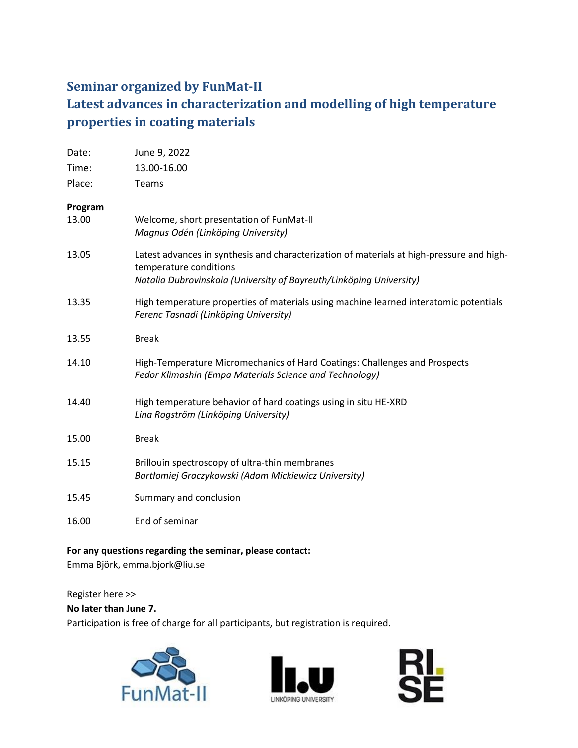## **Seminar organized by FunMat-II Latest advances in characterization and modelling of high temperature properties in coating materials**

| Date:   | June 9, 2022                                                                                                                                                                               |
|---------|--------------------------------------------------------------------------------------------------------------------------------------------------------------------------------------------|
| Time:   | 13.00-16.00                                                                                                                                                                                |
| Place:  | Teams                                                                                                                                                                                      |
| Program |                                                                                                                                                                                            |
| 13.00   | Welcome, short presentation of FunMat-II<br>Magnus Odén (Linköping University)                                                                                                             |
| 13.05   | Latest advances in synthesis and characterization of materials at high-pressure and high-<br>temperature conditions<br>Natalia Dubrovinskaia (University of Bayreuth/Linköping University) |
|         |                                                                                                                                                                                            |
| 13.35   | High temperature properties of materials using machine learned interatomic potentials<br>Ferenc Tasnadi (Linköping University)                                                             |
| 13.55   | <b>Break</b>                                                                                                                                                                               |
| 14.10   | High-Temperature Micromechanics of Hard Coatings: Challenges and Prospects<br>Fedor Klimashin (Empa Materials Science and Technology)                                                      |
| 14.40   | High temperature behavior of hard coatings using in situ HE-XRD<br>Lina Rogström (Linköping University)                                                                                    |
| 15.00   | <b>Break</b>                                                                                                                                                                               |
| 15.15   | Brillouin spectroscopy of ultra-thin membranes<br>Bartłomiej Graczykowski (Adam Mickiewicz University)                                                                                     |
| 15.45   | Summary and conclusion                                                                                                                                                                     |
| 16.00   | End of seminar                                                                                                                                                                             |

## **For any questions regarding the seminar, please contact:**

Emma Björk, emma.bjork@liu.se

Register here >>

## **No later than June 7.**

Participation is free of charge for all participants, but registration is required.